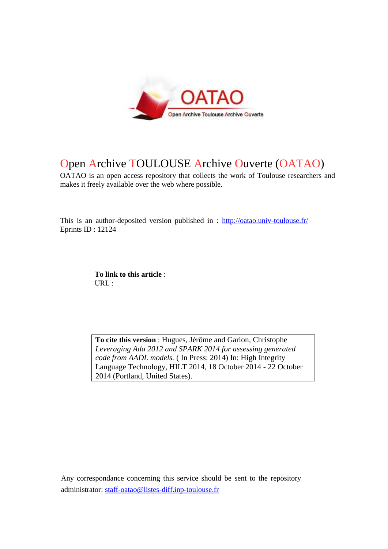

# Open Archive TOULOUSE Archive Ouverte (OATAO)

OATAO is an open access repository that collects the work of Toulouse researchers and makes it freely available over the web where possible.

This is an author-deposited version published in : http://oatao.univ-toulouse.fr/ Eprints ID : 12124

> **To link to this article** : URL :

**To cite this version** : Hugues, Jérôme and Garion, Christophe *Leveraging Ada 2012 and SPARK 2014 for assessing generated code from AADL models.* ( In Press: 2014) In: High Integrity Language Technology, HILT 2014, 18 October 2014 - 22 October 2014 (Portland, United States).

Any correspondance concerning this service should be sent to the repository administrator: [staff-oatao@listes-diff.inp-toulouse.fr](mailto:staff-oatao@listes-diff.inp-toulouse.fr)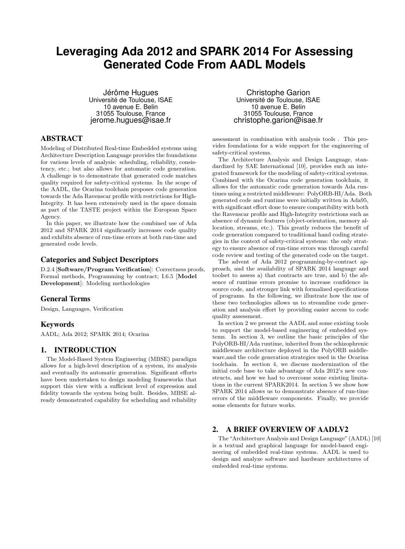# **Leveraging Ada 2012 and SPARK 2014 For Assessing Generated Code From AADL Models**

Jérôme Hugues Université de Toulouse, ISAE 10 avenue E. Belin 31055 Toulouse, France jerome.hugues@isae.fr

# ABSTRACT

Modeling of Distributed Real-time Embedded systems using Architecture Description Language provides the foundations for various levels of analysis: scheduling, reliability, consistency, etc.; but also allows for automatic code generation. A challenge is to demonstrate that generated code matches quality required for safety-critical systems. In the scope of the AADL, the Ocarina toolchain proposes code generation towards the Ada Ravenscar profile with restrictions for High-Integrity. It has been extensively used in the space domain as part of the TASTE project within the European Space Agency.

In this paper, we illustrate how the combined use of Ada 2012 and SPARK 2014 significantly increases code quality and exhibits absence of run-time errors at both run-time and generated code levels.

## Categories and Subject Descriptors

D.2.4 [**Software/Program Verification**]: Correctness proofs, Formal methods, Programming by contract; I.6.5 [Model Development]: Modeling methodologies

## General Terms

Design, Languages, Verification

#### Keywords

AADL; Ada 2012; SPARK 2014; Ocarina

#### 1. INTRODUCTION

The Model-Based System Engineering (MBSE) paradigm allows for a high-level description of a system, its analysis and eventually its automatic generation. Significant efforts have been undertaken to design modeling frameworks that support this view with a sufficient level of expression and fidelity towards the system being built. Besides, MBSE already demonstrated capability for scheduling and reliability

Christophe Garion Université de Toulouse, ISAE 10 avenue E. Belin 31055 Toulouse, France christophe.garion@isae.fr

assessment in combination with analysis tools . This provides foundations for a wide support for the engineering of safety-critical systems.

The Architecture Analysis and Design Language, standardized by SAE International [10], provides such an integrated framework for the modeling of safety-critical systems. Combined with the Ocarina code generation toolchain, it allows for the automatic code generation towards Ada runtimes using a restricted middleware: PolyORB-HI/Ada. Both generated code and runtime were initially written in Ada95, with significant effort done to ensure compatibility with both the Ravenscar profile and High-Integrity restrictions such as absence of dynamic features (object-orientation, memory allocation, streams, etc.). This greatly reduces the benefit of code generation compared to traditional hand coding strategies in the context of safety-critical systems: the only strategy to ensure absence of run-time errors was through careful code review and testing of the generated code on the target.

The advent of Ada 2012 programming-by-contract approach, and the availability of SPARK 2014 language and toolset to assess a) that contracts are true, and b) the absence of runtime errors promise to increase confidence in source code, and stronger link with formalized specifications of programs. In the following, we illustrate how the use of these two technologies allows us to streamline code generation and analysis effort by providing easier access to code quality assessment.

In section 2 we present the AADL and some existing tools to support the model-based engineering of embedded systems. In section 3, we outline the basic principles of the PolyORB-HI/Ada runtime, inherited from the schizophrenic middleware architecture deployed in the PolyORB middleware,and the code generation strategies used in the Ocarina toolchain. In section 4, we discuss modernization of the initial code base to take advantage of Ada 2012's new constructs, and how we had to overcome some existing limitations in the current SPARK2014. In section 5 we show how SPARK 2014 allows us to demonstrate absence of run-time errors of the middleware components. Finally, we provide some elements for future works.

## 2. A BRIEF OVERVIEW OF AADLV2

The "Architecture Analysis and Design Language" (AADL) [10] is a textual and graphical language for model-based engineering of embedded real-time systems. AADL is used to design and analyze software and hardware architectures of embedded real-time systems.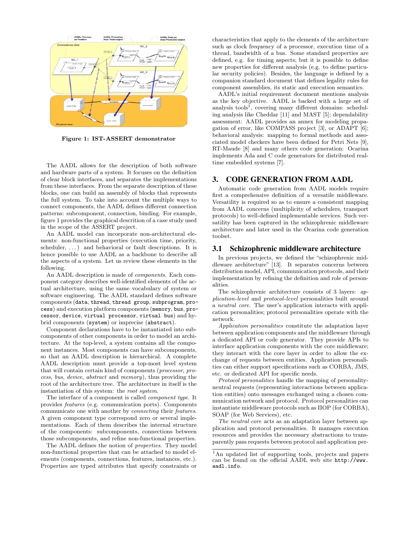

Figure 1: IST-ASSERT demonstrator

The AADL allows for the description of both software and hardware parts of a system. It focuses on the definition of clear block interfaces, and separates the implementations from these interfaces. From the separate description of these blocks, one can build an assembly of blocks that represents the full system. To take into account the multiple ways to connect components, the AADL defines different connection patterns: subcomponent, connection, binding. For example, figure 1 provides the graphical descrition of a case study used in the scope of the ASSERT project.

An AADL model can incorporate non-architectural elements: non-functional properties (execution time, priority, scheduler, ...) and behavioral or fault descriptions. It is hence possible to use AADL as a backbone to describe all the aspects of a system. Let us review these elements in the following.

An AADL description is made of components. Each component category describes well-identified elements of the actual architecture, using the same vocabulary of system or software engineering. The AADL standard defines software components (data, thread, thread group, subprogram, process) and execution platform components (memory, bus, processor, device, virtual processor, virtual bus) and hybrid components (system) or imprecise (abstract).

Component declarations have to be instantiated into subcomponents of other components in order to model an architecture. At the top-level, a system contains all the component instances. Most components can have subcomponents, so that an AADL description is hierarchical. A complete AADL description must provide a top-most level system that will contain certain kind of components (processor, process, bus, device, abstract and memory), thus providing the root of the architecture tree. The architecture in itself is the instantiation of this system: the root system.

The interface of a component is called component type. It provides features (e.g. communication ports). Components communicate one with another by connecting their features. A given component type correspond zero or several implementations. Each of them describes the internal structure of the components: subcomponents, connections between those subcomponents, and refine non-functional properties.

The AADL defines the notion of properties. They model non-functional properties that can be attached to model elements (components, connections, features, instances, etc.). Properties are typed attributes that specify constraints or

characteristics that apply to the elements of the architecture such as clock frequency of a processor, execution time of a thread, bandwidth of a bus. Some standard properties are defined, e.g. for timing aspects; but it is possible to define new properties for different analysis (e.g. to define particular security policies). Besides, the language is defined by a companion standard document that defines legality rules for component assemblies, its static and execution semantics.

AADL's initial requirement document mentions analysis as the key objective. AADL is backed with a large set of analysis tools<sup>1</sup>, covering many different domains: scheduling analysis like Cheddar [11] and MAST [5]; dependability assessment: AADL provides an annex for modeling propagation of error, like COMPASS project [3], or ADAPT [6]; behavioral analysis: mapping to formal methods and associated model checkers have been defined for Petri Nets [9], RT-Maude [8] and many others code generation: Ocarina implements Ada and C code generators for distributed realtime embedded systems [7].

## 3. CODE GENERATION FROM AADL

Automatic code generation from AADL models require first a comprehensive definition of a versatile middleware. Versatility is required so as to ensure a consistent mapping from AADL concerns (multiplicity of schedulers, transport protocols) to well-defined implementable services. Such versatility has been captured in the schizophrenic middleware architecture and later used in the Ocarina code generation toolset.

# 3.1 Schizophrenic middleware architecture

In previous projects, we defined the "schizophrenic middleware architecture" [13]. It separates concerns between distribution model, API, communication protocols, and their implementation by refining the definition and role of personalities.

The schizophrenic architecture consists of 3 layers: application-level and protocol-level personalities built around a *neutral core*. The user's application interacts with application personalities; protocol personalities operate with the network.

Application personalities constitute the adaptation layer between application components and the middleware through a dedicated API or code generator. They provide APIs to interface application components with the core middleware; they interact with the core layer in order to allow the exchange of requests between entities. Application personalities can either support specifications such as CORBA, JMS, etc. or dedicated API for specific needs.

Protocol personalities handle the mapping of personalityneutral requests (representing interactions between application entities) onto messages exchanged using a chosen communication network and protocol. Protocol personalities can instantiate middleware protocols such as IIOP (for CORBA), SOAP (for Web Services), etc.

The neutral core acts as an adaptation layer between application and protocol personalities. It manages execution resources and provides the necessary abstractions to transparently pass requests between protocol and application per-

<sup>1</sup>An updated list of supporting tools, projects and papers can be found on the official AADL web site http://www. aadl.info.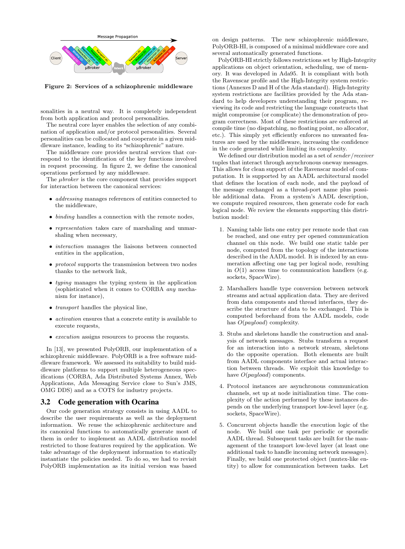

Figure 2: Services of a schizophrenic middleware

sonalities in a neutral way. It is completely independent from both application and protocol personalities.

The neutral core layer enables the selection of any combination of application and/or protocol personalities. Several personalities can be collocated and cooperate in a given middleware instance, leading to its "schizophrenic" nature.

The middleware core provides neutral services that correspond to the identification of the key functions involved in request processing. In figure 2, we define the canonical operations performed by any middleware.

The *ubroker* is the core component that provides support for interaction between the canonical services:

- *addressing* manages references of entities connected to the middleware,
- binding handles a connection with the remote nodes,
- representation takes care of marshaling and unmarshaling when necessary,
- interaction manages the liaisons between connected entities in the application,
- *protocol* supports the transmission between two nodes thanks to the network link,
- typing manages the typing system in the application (sophisticated when it comes to CORBA any mechanism for instance),
- transport handles the physical line,
- activation ensures that a concrete entity is available to execute requests,
- *execution* assigns resources to process the requests.

In [13], we presented PolyORB, our implementation of a schizophrenic middleware. PolyORB is a free software middleware framework. We assessed its suitability to build middleware platforms to support multiple heterogeneous specifications (CORBA, Ada Distributed Systems Annex, Web Applications, Ada Messaging Service close to Sun's JMS, OMG DDS) and as a COTS for industry projects.

#### 3.2 Code generation with Ocarina

Our code generation strategy consists in using AADL to describe the user requirements as well as the deployment information. We reuse the schizophrenic architecture and its canonical functions to automatically generate most of them in order to implement an AADL distribution model restricted to those features required by the application. We take advantage of the deployment information to statically instantiate the policies needed. To do so, we had to revisit PolyORB implementation as its initial version was based

on design patterns. The new schizophrenic middleware, PolyORB-HI, is composed of a minimal middleware core and several automatically generated functions.

PolyORB-HI strictly follows restrictions set by High-Integrity applications on object orientation, scheduling, use of memory. It was developed in Ada95. It is compliant with both the Ravenscar profile and the High-Integrity system restrictions (Annexes D and H of the Ada standard). High-Integrity system restrictions are facilities provided by the Ada standard to help developers understanding their program, reviewing its code and restricting the language constructs that might compromise (or complicate) the demonstration of program correctness. Most of these restrictions are enforced at compile time (no dispatching, no floating point, no allocator, etc.). This simply yet efficiently enforces no unwanted features are used by the middleware, increasing the confidence in the code generated while limiting its complexity.

We defined our distribution model as a set of sender/receiver tuples that interact through asynchronous oneway messages. This allows for clean support of the Ravenscar model of computation. It is supported by an AADL architectural model that defines the location of each node, and the payload of the message exchanged as a thread-port name plus possible additional data. From a system's AADL description, we compute required resources, then generate code for each logical node. We review the elements supporting this distribution model:

- 1. Naming table lists one entry per remote node that can be reached, and one entry per opened communication channel on this node. We build one static table per node, computed from the topology of the interactions described in the AADL model. It is indexed by an enumeration affecting one tag per logical node, resulting in  $O(1)$  access time to communication handlers (e.g. sockets, SpaceWire).
- 2. Marshallers handle type conversion between network streams and actual application data. They are derived from data components and thread interfaces, they describe the structure of data to be exchanged. This is computed beforehand from the AADL models, code has O(payload) complexity.
- 3. Stubs and skeletons handle the construction and analysis of network messages. Stubs transform a request for an interaction into a network stream, skeletons do the opposite operation. Both elements are built from AADL components interface and actual interaction between threads. We exploit this knowledge to have  $O(payload)$  components.
- 4. Protocol instances are asynchronous communication channels, set up at node initialization time. The complexity of the action performed by these instances depends on the underlying transport low-level layer (e.g. sockets, SpaceWire).
- 5. Concurrent objects handle the execution logic of the node. We build one task per periodic or sporadic AADL thread. Subsequent tasks are built for the management of the transport low-level layer (at least one additional task to handle incoming network messages). Finally, we build one protected object (mutex-like entity) to allow for communication between tasks. Let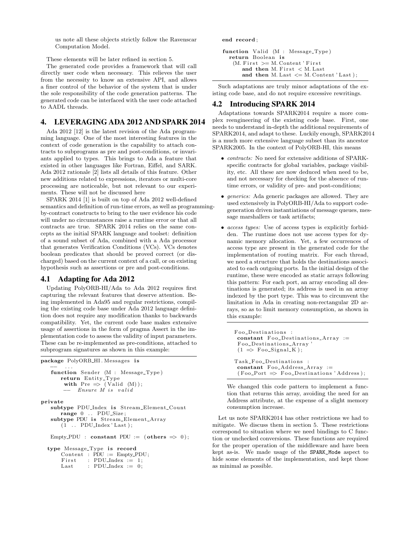us note all these objects strictly follow the Ravenscar Computation Model.

These elements will be later refined in section 5.

The generated code provides a framework that will call directly user code when necessary. This relieves the user from the necessity to know an extensive API, and allows a finer control of the behavior of the system that is under the sole responsibility of the code generation patterns. The generated code can be interfaced with the user code attached to AADL threads.

# 4. LEVERAGING ADA 2012 AND SPARK 2014

Ada 2012 [12] is the latest revision of the Ada programming language. One of the most interesting features in the context of code generation is the capability to attach contracts to subprograms as pre and post-conditions, or invariants applied to types. This brings to Ada a feature that existed in other languages like Fortran, Eiffel, and SARK. Ada 2012 rationale [2] lists all details of this feature. Other new additions related to expressions, iterators or multi-core processing are noticeable, but not relevant to our experiments. These will not be discussed here

SPARK 2014 [1] is built on top of Ada 2012 well-defined semantics and definition of run-time errors, as well as programmingby-contract constructs to bring to the user evidence his code will under no circumstances raise a runtime error or that all contracts are true. SPARK 2014 relies on the same concepts as the initial SPARK language and toolset: definition of a sound subset of Ada, combined with a Ada processor that generates Verification Conditions (VCs). VCs denotes boolean predicates that should be proved correct (or discharged) based on the current context of a call, or on existing hypothesis such as assertions or pre and post-conditions.

# 4.1 Adapting for Ada 2012

Updating PolyORB-HI/Ada to Ada 2012 requires first capturing the relevant features that deserve attention. Being implemented in Ada95 and regular restrictions, compiling the existing code base under Ada 2012 language definition does not require any modification thanks to backwards compatibility. Yet, the current code base makes extensive usage of assertions in the form of pragma Assert in the implementation code to assess the validity of input parameters. These can be re-implemented as pre-conditions, attached to subprogram signatures as shown in this example:

```
package PolyORB_HI. Messages is
   −− . . .
   function Sender (M : Message_Type)
      return Entity_Type
        with Pre \implies (Valid (M));
           Ensure M is valid
private
   subtype PDU<sub>-Index</sub> is Stream-Element<sub>-Count</sub>
      range 0 .. PDU_Size
   subtype PDU is Stream_Element_Array
       (1 \dots \text{PDU\_Index'} Last);Empty_PDU : constant PDU := (others \Rightarrow 0);
  type Message_Type is record
       Content : PDU := Empty_PDU;First : PDU\_Index := 1;Last : PDU\_Index := 0;
```
end record ;

```
function Valid (M : Message_Type)
  return Boolean is
   (M. First \geq M. Content 'Firstand then M. First \langle M. Last
      and then M. Last \leq M. Content 'Last ):
```
Such adaptations are truly minor adaptations of the existing code base, and do not require excessive rewritings.

# 4.2 Introducing SPARK 2014

Adaptations towards SPARK2014 require a more complex reengineering of the existing code base. First, one needs to understand in-depth the additional requirements of SPARK2014, and adapt to these. Luckily enough, SPARK2014 is a much more extensive language subset than its ancestor SPARK2005. In the context of PolyORB-HI, this means

- contracts: No need for extensive additions of SPARKspecific contracts for global variables, package visibility, etc. All these are now deduced when need to be, and not necessary for checking for the absence of runtime errors, or validity of pre- and post-conditions;
- generics: Ada generic packages are allowed. They are used extensively in PolyORB-HI/Ada to support codegeneration driven instantiations of message queues, message marshallers or task artifacts;
- access types: Use of access types is explicitly forbidden. The runtime does not use access types for dynamic memory allocation. Yet, a few occurrences of access type are present in the generated code for the implementation of routing matrix. For each thread, we need a structure that holds the destinations associated to each outgoing ports. In the initial design of the runtime, these were encoded as static arrays following this pattern: For each port, an array encoding all destinations is generated; its address is used in an array indexed by the port type. This was to circumvent the limitation in Ada in creating non-rectangular 2D arrays, so as to limit memory consumption, as shown in this example:

```
Foo_Destinations :
constant Foo<sub>-</sub>Destinations<sub>-Array</sub> :=
Foo_Destinations_Array'
(1 \Rightarrow \text{Foo-Signal\_K});Task_Foo_Destinations :
constant Food-Address_Array :=
(Foo\_Port \implies Foo\_Destinations' Address);
```
We changed this code pattern to implement a function that returns this array, avoiding the need for an Address attribute, at the expense of a slight memory consumption increase.

Let us note SPARK2014 has other restrictions we had to mitigate. We discuss them in section 5. These restrictions correspond to situation where we need bindings to C function or unchecked conversions. These functions are required for the proper operation of the middleware and have been kept as-is. We made usage of the SPARK\_Mode aspect to hide some elements of the implementation, and kept those as minimal as possible.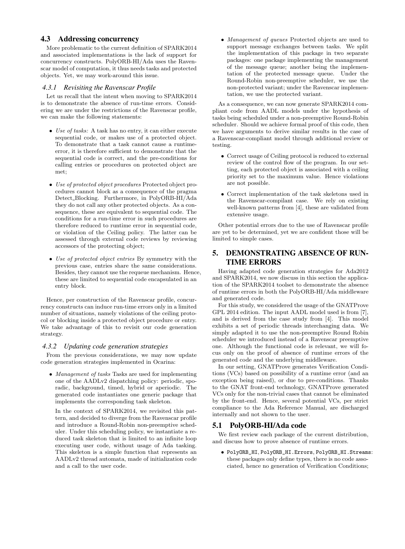## 4.3 Addressing concurrency

More problematic to the current definition of SPARK2014 and associated implementations is the lack of support for concurrency constructs. PolyORB-HI/Ada uses the Ravenscar model of computation, it thus needs tasks and protected objects. Yet, we may work-around this issue.

#### *4.3.1 Revisiting the Ravenscar Profile*

Let us recall that the intent when moving to SPARK2014 is to demonstrate the absence of run-time errors. Considering we are under the restrictions of the Ravenscar profile, we can make the following statements:

- Use of tasks: A task has no entry, it can either execute sequential code, or makes use of a protected object. To demonstrate that a task cannot cause a runtimeerror, it is therefore sufficient to demonstrate that the sequential code is correct, and the pre-conditions for calling entries or procedures on protected object are met;
- Use of protected object procedures Protected object procedures cannot block as a consequence of the pragma Detect Blocking. Furthermore, in PolyORB-HI/Ada they do not call any other protected objects. As a consequence, these are equivalent to sequential code. The conditions for a run-time error in such procedures are therefore reduced to runtime error in sequential code, or violation of the Ceiling policy. The latter can be assessed through external code reviews by reviewing accessors of the protecting object;
- Use of protected object entries By symmetry with the previous case, entries share the same considerations. Besides, they cannot use the requeue mechanism. Hence, these are limited to sequential code encapsulated in an entry block.

Hence, per construction of the Ravenscar profile, concurrency constructs can induce run-time errors only in a limited number of situations, namely violations of the ceiling protocol or blocking inside a protected object procedure or entry. We take advantage of this to revisit our code generation strategy.

#### *4.3.2 Updating code generation strategies*

From the previous considerations, we may now update code generation strategies implemented in Ocarina:

• Management of tasks Tasks are used for implementing one of the AADLv2 dispatching policy: periodic, sporadic, background, timed, hybrid or aperiodic. The generated code instantiates one generic package that implements the corresponding task skeleton.

In the context of SPARK2014, we revisited this pattern, and decided to diverge from the Ravenscar profile and introduce a Round-Robin non-preemptive scheduler. Under this scheduling policy, we instantiate a reduced task skeleton that is limited to an infinite loop executing user code, without usage of Ada tasking. This skeleton is a simple function that represents an AADLv2 thread automata, made of initialization code and a call to the user code.

• Management of queues Protected objects are used to support message exchanges between tasks. We split the implementation of this package in two separate packages: one package implementing the management of the message queue; another being the implementation of the protected message queue. Under the Round-Robin non-preemptive scheduler, we use the non-protected variant; under the Ravenscar implementation, we use the protected variant.

As a consequence, we can now generate SPARK2014 compliant code from AADL models under the hypothesis of tasks being scheduled under a non-preemptive Round-Robin scheduler. Should we achieve formal proof of this code, then we have arguments to derive similar results in the case of a Ravenscar-compliant model through additional review or testing.

- Correct usage of Ceiling protocol is reduced to external review of the control flow of the program. In our setting, each protected object is associated with a ceiling priority set to the maximum value. Hence violations are not possible.
- Correct implementation of the task skeletons used in the Ravenscar-compilant case. We rely on existing well-known patterns from [4], these are validated from extensive usage.

Other potential errors due to the use of Ravenscar profile are yet to be determined, yet we are confident those will be limited to simple cases.

# 5. DEMONSTRATING ABSENCE OF RUN-TIME ERRORS

Having adapted code generation strategies for Ada2012 and SPARK2014, we now discuss in this section the application of the SPARK2014 toolset to demonstrate the absence of runtime errors in both the PolyORB-HI/Ada middleware and generated code.

For this study, we considered the usage of the GNATProve GPL 2014 edition. The input AADL model used is from [7], and is derived from the case study from [4]. This model exhibits a set of periodic threads interchanging data. We simply adapted it to use the non-preemptive Round Robin scheduler we introduced instead of a Ravenscar preemptive one. Although the functional code is relevant, we will focus only on the proof of absence of runtime errors of the generated code and the underlying middleware.

In our setting, GNATProve generates Verification Conditions (VCs) based on possibility of a runtime error (and an exception being raised), or due to pre-conditions. Thanks to the GNAT front-end technology, GNATProve generated VCs only for the non-trivial cases that cannot be eliminated by the front-end. Hence, several potential VCs, per strict compliance to the Ada Reference Manual, are discharged internally and not shown to the user.

## 5.1 PolyORB-HI/Ada code

We first review each package of the current distribution, and discuss how to prove absence of runtime errors.

• PolyORB\_HI, PolyORB\_HI.Errors, PolyORB\_HI.Streams: these packages only define types, there is no code associated, hence no generation of Verification Conditions;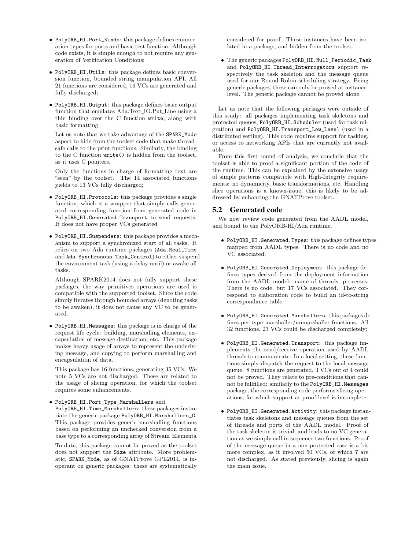- PolyORB\_HI.Port\_Kinds: this package defines enumeration types for ports and basic test function. Although code exists, it is simple enough to not require any generation of Verification Conditions;
- PolyORB\_HI.Utils: this package defines basic conversion function, bounded string manipulation API. All 21 functions are considered, 16 VCs are generated and fully discharged;
- PolyORB\_HI.Output: this package defines basic output function that emulates Ada.Text\_IO.Put\_Line using a thin binding over the C function write, along with basic formatting.

Let us note that we take advantage of the SPARK\_Mode aspect to hide from the toolset code that make threadsafe calls to the print functions. Similarly, the binding to the C function write() is hidden from the toolset, as it uses C pointers.

Only the functions in charge of formatting text are "seen" by the toolset. The 14 associated functions yields to 13 VCs fully discharged;

- PolyORB\_HI.Protocols: this package provides a single function, which is a wrapper that simply calls generated corresponding function from generated code in PolyORB\_HI.Generated.Transport to send requests. It does not have proper VCs generated
- PolyORB\_HI.Suspenders: this package provides a mechanism to support a synchronized start of all tasks. It relies on two Ada runtime packages (Ada.Real\_Time and Ada.Synchronous.Task\_Control) to either suspend the environment task (using a delay until) or awake all tasks.

Although SPARK2014 does not fully support these packages, the way primitives operations are used is compatible with the supported toolset. Since the code simply iterates through bounded arrays (denoting tasks to be awaken), it does not cause any VC to be generated.

• PolyORB\_HI.Messages: this package is in charge of the request life cycle: building, marshalling elements, encapsulation of message destination, etc. This package makes heavy usage of arrays to represent the underlying message, and copying to perform marshalling and encapsulation of data.

This package has 16 functions, generating 35 VCs. We note 5 VCs are not discharged. These are related to the usage of slicing operation, for which the toolset requires some enhancements.

• PolyORB\_HI.Port\_Type\_Marshallers and PolyORB\_HI.Time\_Marshallers: these packages instantiate the generic package PolyORB\_HI.Marshallers\_G. This package provides generic marshalling functions based on performing an unchecked conversion from a base type to a corresponding array of Stream Elements.

To date, this package cannot be proved as the toolset does not support the Size attribute. More problematic, SPARK\_Mode, as of GNATProve GPL2014, is inoperant on generic packages: these are systematically

considered for proof. These instances have been isolated in a package, and hidden from the toolset.

• The generic packages PolyORB\_HI.Null\_Periodic\_Task and PolyORB\_HI.Thread\_Interrogators support respectively the task skeleton and the message queue used for our Round-Robin scheduling strategy. Being generic packages, these can only be proved at instancelevel. The generic package cannot be proved alone.

Let us note that the following packages were outside of this study: all packages implementing task skeletons and protected queues, PolyORB\_HI.Scheduler (used for task migration) and PolyORB\_HI.Transport\_Low\_Level (used in a distributed setting). This code requires support for tasking, or access to networking APIs that are currently not available.

From this first round of analysis, we conclude that the toolset is able to proof a significant portion of the code of the runtime. This can be explained by the extensive usage of simple patterns compatible with High-Integrity requirements: no dynamicity, basic transformations, etc. Handling slice operations is a known-issue, this is likely to be addressed by enhancing the GNATProve toolset.

# 5.2 Generated code

We now review code generated from the AADL model, and bound to the PolyORB-HI/Ada runtime.

- PolyORB\_HI.Generated.Types: this package defines types mapped from AADL types. There is no code and no VC associated;
- PolyORB\_HI.Generated.Deployment: this package defines types derived from the deployment information from the AADL model: name of threads, processes. There is no code, but 17 VCs associated. They correspond to elaboration code to build an id-to-string correspondance table.
- PolyORB\_HI.Generated.Marshallers: this packages defines per-type marshaller/unmarshaller functions. All 32 functions, 23 VCs could be discharged completely;
- PolyORB\_HI.Generated.Transport: this package implements the send/receive operation used by AADL threads to communicate. In a local setting, these functions simply dispatch the request to the local message queue. 8 functions are generated, 3 VCs out of 4 could not be proved. They relate to pre-conditions that cannot be fullfilled: similarly to the PolyORB\_HI.Messages package, the corresponding code performs slicing operations, for which support at proof-level is incomplete;
- PolyORB\_HI.Generated.Activity: this package instantiates task skeletons and message queues from the set of threads and ports of the AADL model. Proof of the task skeleton is trivial, and leads to no VC generation as we simply call in sequence two functions. Proof of the message queue in a non-protected case is a bit more complex, as it involved 50 VCs, of which 7 are not discharged. As stated previously, slicing is again the main issue.